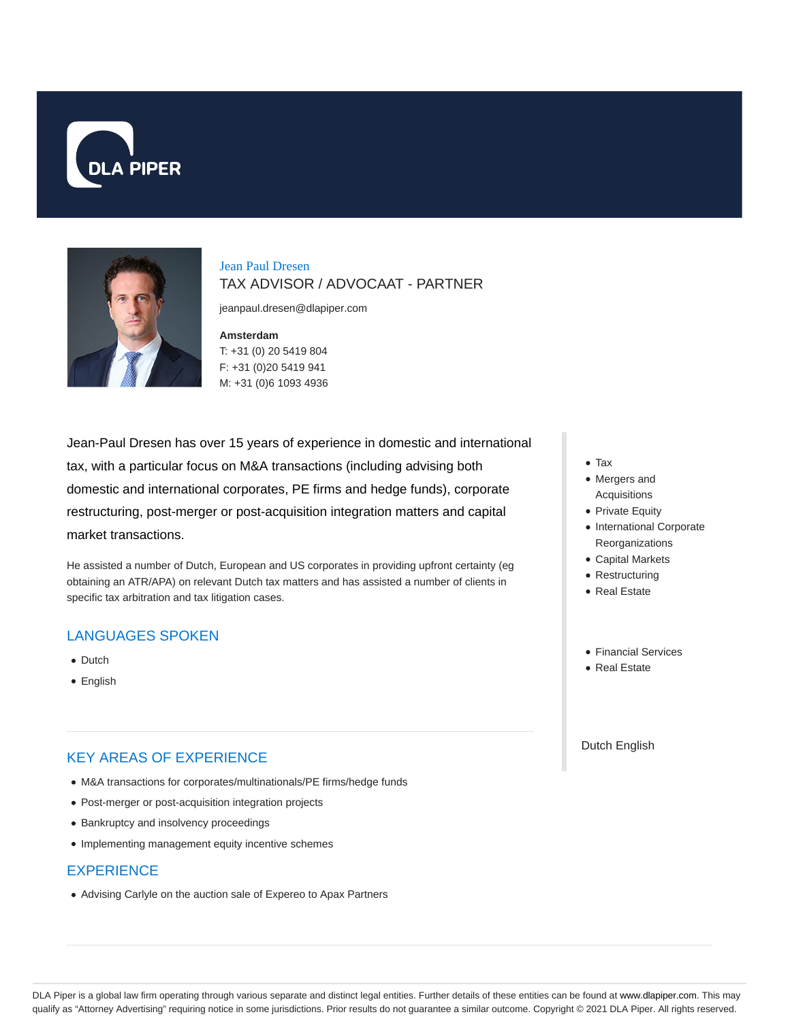



# Jean Paul Dresen TAX ADVISOR / ADVOCAAT - PARTNER

jeanpaul.dresen@dlapiper.com

#### **Amsterdam**

T: +31 (0) 20 5419 804 F: +31 (0)20 5419 941 M: +31 (0)6 1093 4936

Jean-Paul Dresen has over 15 years of experience in domestic and international tax, with a particular focus on M&A transactions (including advising both domestic and international corporates, PE firms and hedge funds), corporate restructuring, post-merger or post-acquisition integration matters and capital market transactions.

He assisted a number of Dutch, European and US corporates in providing upfront certainty (eg obtaining an ATR/APA) on relevant Dutch tax matters and has assisted a number of clients in specific tax arbitration and tax litigation cases.

# LANGUAGES SPOKEN

- Dutch
- English

# KEY AREAS OF EXPERIENCE

- M&A transactions for corporates/multinationals/PE firms/hedge funds
- Post-merger or post-acquisition integration projects
- Bankruptcy and insolvency proceedings
- Implementing management equity incentive schemes

### **EXPERIENCE**

Advising Carlyle on the auction sale of Expereo to Apax Partners

- Tax
- Mergers and Acquisitions
- Private Equity
- International Corporate Reorganizations
- Capital Markets
- Restructuring
- Real Estate
- Financial Services
- Real Estate

### Dutch English

DLA Piper is a global law firm operating through various separate and distinct legal entities. Further details of these entities can be found at www.dlapiper.com. This may qualify as "Attorney Advertising" requiring notice in some jurisdictions. Prior results do not guarantee a similar outcome. Copyright © 2021 DLA Piper. All rights reserved.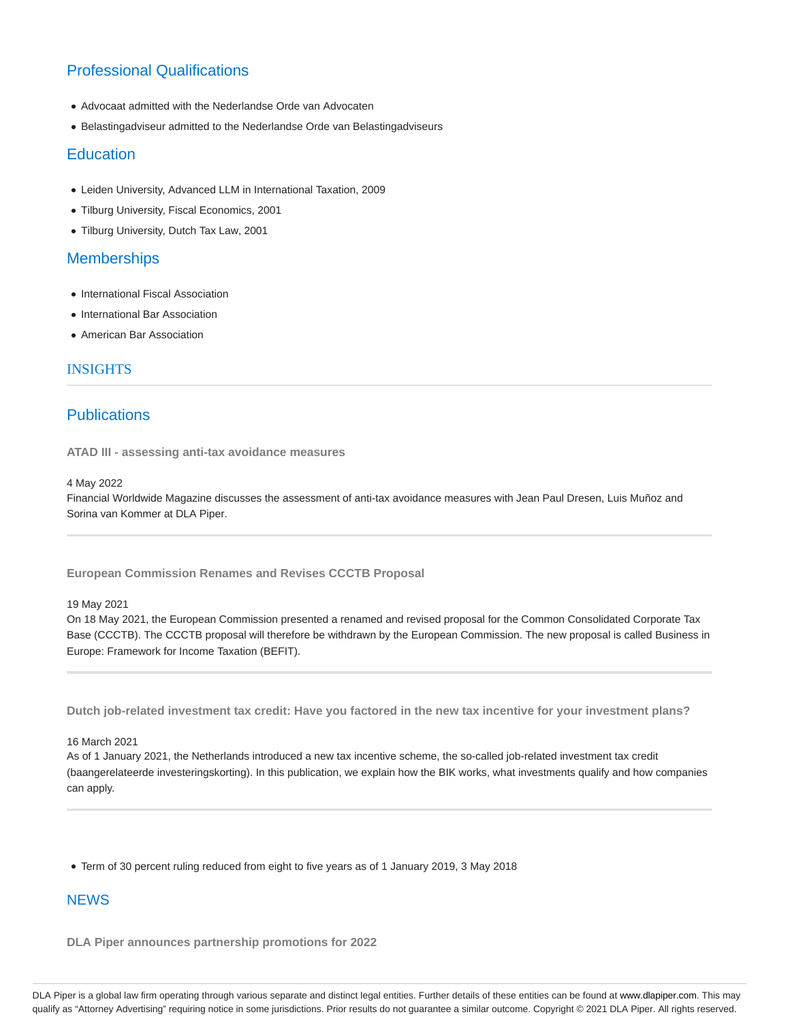# Professional Qualifications

- Advocaat admitted with the Nederlandse Orde van Advocaten
- Belastingadviseur admitted to the Nederlandse Orde van Belastingadviseurs

### **Education**

- Leiden University, Advanced LLM in International Taxation, 2009
- Tilburg University, Fiscal Economics, 2001
- Tilburg University, Dutch Tax Law, 2001

## **Memberships**

- International Fiscal Association
- International Bar Association
- American Bar Association

### INSIGHTS

# **Publications**

**ATAD III - assessing anti-tax avoidance measures**

### 4 May 2022

Financial Worldwide Magazine discusses the assessment of anti-tax avoidance measures with Jean Paul Dresen, Luis Muñoz and Sorina van Kommer at DLA Piper.

**European Commission Renames and Revises CCCTB Proposal**

### 19 May 2021

On 18 May 2021, the European Commission presented a renamed and revised proposal for the Common Consolidated Corporate Tax Base (CCCTB). The CCCTB proposal will therefore be withdrawn by the European Commission. The new proposal is called Business in Europe: Framework for Income Taxation (BEFIT).

**Dutch job-related investment tax credit: Have you factored in the new tax incentive for your investment plans?**

### 16 March 2021

As of 1 January 2021, the Netherlands introduced a new tax incentive scheme, the so-called job-related investment tax credit (baangerelateerde investeringskorting). In this publication, we explain how the BIK works, what investments qualify and how companies can apply.

Term of 30 percent ruling reduced from eight to five years as of 1 January 2019, 3 May 2018

# **NEWS**

**DLA Piper announces partnership promotions for 2022**

DLA Piper is a global law firm operating through various separate and distinct legal entities. Further details of these entities can be found at www.dlapiper.com. This may qualify as "Attorney Advertising" requiring notice in some jurisdictions. Prior results do not guarantee a similar outcome. Copyright © 2021 DLA Piper. All rights reserved.